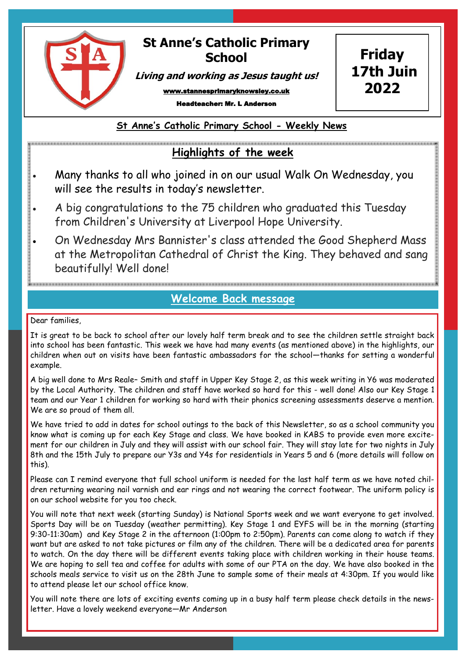

## **St Anne's Catholic Primary School**

**Friday 17th Juin**

**2022**

**Living and working as Jesus taught us!**

www.stannesprimaryknowsley.co.uk

Headteacher: Mr. L Anderson

**St Anne's Catholic Primary School - Weekly News**

## **Highlights of the week**

- Many thanks to all who joined in on our usual Walk On Wednesday, you will see the results in today's newsletter.
- A big congratulations to the 75 children who graduated this Tuesday from Children's University at Liverpool Hope University.
- On Wednesday Mrs Bannister's class attended the Good Shepherd Mass at the Metropolitan Cathedral of Christ the King. They behaved and sang beautifully! Well done!

## **Welcome Back message**

Dear families,

It is great to be back to school after our lovely half term break and to see the children settle straight back into school has been fantastic. This week we have had many events (as mentioned above) in the highlights, our children when out on visits have been fantastic ambassadors for the school—thanks for setting a wonderful example.

A big well done to Mrs Reale– Smith and staff in Upper Key Stage 2, as this week writing in Y6 was moderated by the Local Authority. The children and staff have worked so hard for this - well done! Also our Key Stage 1 team and our Year 1 children for working so hard with their phonics screening assessments deserve a mention. We are so proud of them all.

We have tried to add in dates for school outings to the back of this Newsletter, so as a school community you know what is coming up for each Key Stage and class. We have booked in KABS to provide even more excitement for our children in July and they will assist with our school fair. They will stay late for two nights in July 8th and the 15th July to prepare our Y3s and Y4s for residentials in Years 5 and 6 (more details will follow on this).

Please can I remind everyone that full school uniform is needed for the last half term as we have noted children returning wearing nail varnish and ear rings and not wearing the correct footwear. The uniform policy is on our school website for you too check.

You will note that next week (starting Sunday) is National Sports week and we want everyone to get involved. Sports Day will be on Tuesday (weather permitting). Key Stage 1 and EYFS will be in the morning (starting 9:30-11:30am) and Key Stage 2 in the afternoon (1:00pm to 2:50pm). Parents can come along to watch if they want but are asked to not take pictures or film any of the children. There will be a dedicated area for parents to watch. On the day there will be different events taking place with children working in their house teams. We are hoping to sell tea and coffee for adults with some of our PTA on the day. We have also booked in the schools meals service to visit us on the 28th June to sample some of their meals at 4:30pm. If you would like to attend please let our school office know.

You will note there are lots of exciting events coming up in a busy half term please check details in the newsletter. Have a lovely weekend everyone—Mr Anderson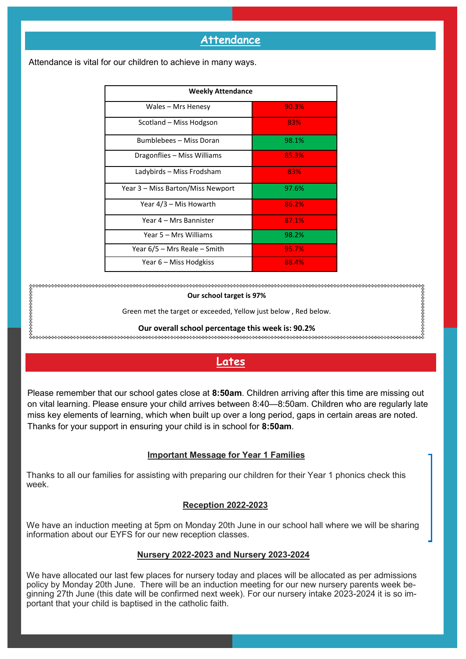### **Attendance**

| <b>Weekly Attendance</b>          |       |
|-----------------------------------|-------|
| Wales - Mrs Henesy                | 90.3% |
| Scotland – Miss Hodgson           | 83%   |
| Bumblebees - Miss Doran           | 98.1% |
| Dragonflies – Miss Williams       | 85.3% |
| Ladybirds – Miss Frodsham         | 83%   |
| Year 3 – Miss Barton/Miss Newport | 97.6% |
| Year 4/3 – Mis Howarth            | 86.2% |
| Year 4 – Mrs Bannister            | 87.1% |
| Year 5 – Mrs Williams             | 98.2% |
| Year 6/5 – Mrs Reale – Smith      | 95.7% |
| Year 6 – Miss Hodgkiss            | 88.4% |

Attendance is vital for our children to achieve in many ways.

**Our school target is 97%** Green met the target or exceeded, Yellow just below , Red below. **Our overall school percentage this week is: 90.2%** 

**Lates**

Please remember that our school gates close at **8:50am**. Children arriving after this time are missing out on vital learning. Please ensure your child arrives between 8:40—8:50am. Children who are regularly late miss key elements of learning, which when built up over a long period, gaps in certain areas are noted. Thanks for your support in ensuring your child is in school for **8:50am**.

#### **Important Message for Year 1 Families**

Thanks to all our families for assisting with preparing our children for their Year 1 phonics check this week.

#### **Reception 2022-2023**

We have an induction meeting at 5pm on Monday 20th June in our school hall where we will be sharing information about our EYFS for our new reception classes.

#### **Nursery 2022-2023 and Nursery 2023-2024**

We have allocated our last few places for nursery today and places will be allocated as per admissions policy by Monday 20th June. There will be an induction meeting for our new nursery parents week beginning 27th June (this date will be confirmed next week). For our nursery intake 2023-2024 it is so important that your child is baptised in the catholic faith.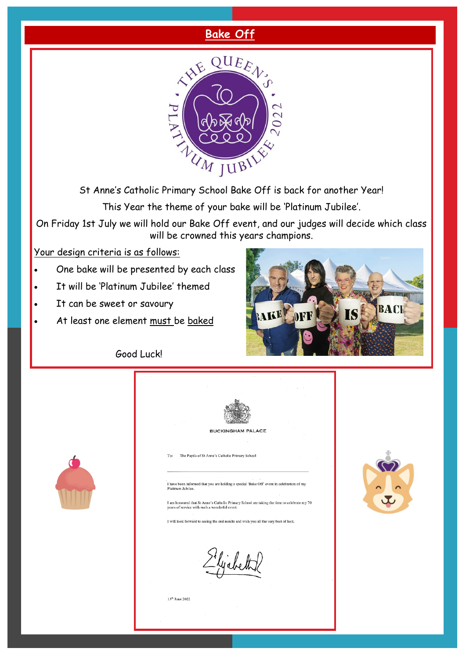## **Bake Off**



St Anne's Catholic Primary School Bake Off is back for another Year!

This Year the theme of your bake will be 'Platinum Jubilee'.

On Friday 1st July we will hold our Bake Off event, and our judges will decide which class will be crowned this years champions.

Your design criteria is as follows:

- One bake will be presented by each class
- It will be 'Platinum Jubilee' themed
- It can be sweet or savoury

 $\sigma$ 

At least one element must be baked



Good Luck!



15<sup>th</sup> June 2022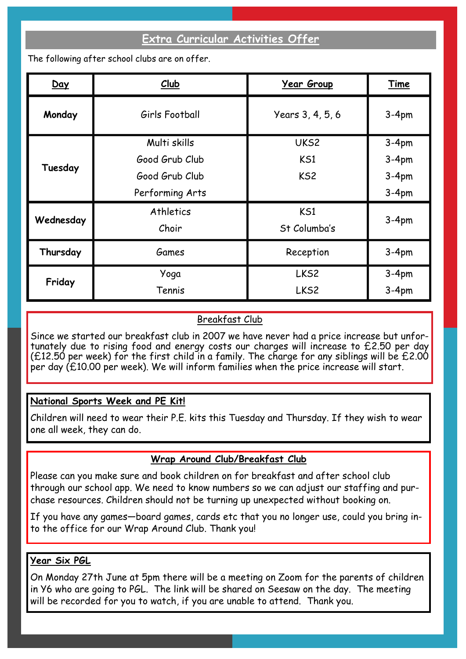## **Extra Curricular Activities Offer**

The following after school clubs are on offer.

| Day       | Club                                                                | <u> Year Group</u>             | Time                                     |
|-----------|---------------------------------------------------------------------|--------------------------------|------------------------------------------|
| Monday    | Girls Football                                                      | Years 3, 4, 5, 6               | $3-4pm$                                  |
| Tuesday   | Multi skills<br>Good Grub Club<br>Good Grub Club<br>Performing Arts | UKS2<br>KS1<br>KS <sub>2</sub> | $3-4pm$<br>$3-4pm$<br>$3-4pm$<br>$3-4pm$ |
| Wednesday | Athletics<br>Choir                                                  | KS1<br>St Columba's            | $3-4pm$                                  |
| Thursday  | Games                                                               | Reception                      | $3-4pm$                                  |
| Friday    | Yoga<br>Tennis                                                      | LKS <sub>2</sub><br>LKS2       | $3-4pm$<br>$3-4pm$                       |

### Breakfast Club

Since we started our breakfast club in 2007 we have never had a price increase but unfortunately due to rising food and energy costs our charges will increase to £2.50 per day (£12.50 per week) for the first child in a family. The charge for any siblings will be £2.00 per day (£10.00 per week). We will inform families when the price increase will start.

### **National Sports Week and PE Kit!**

Children will need to wear their P.E. kits this Tuesday and Thursday. If they wish to wear one all week, they can do.

### **Wrap Around Club/Breakfast Club**

Please can you make sure and book children on for breakfast and after school club through our school app. We need to know numbers so we can adjust our staffing and purchase resources. Children should not be turning up unexpected without booking on.

If you have any games—board games, cards etc that you no longer use, could you bring into the office for our Wrap Around Club. Thank you!

### **Year Six PGL**

On Monday 27th June at 5pm there will be a meeting on Zoom for the parents of children in Y6 who are going to PGL. The link will be shared on Seesaw on the day. The meeting will be recorded for you to watch, if you are unable to attend. Thank you.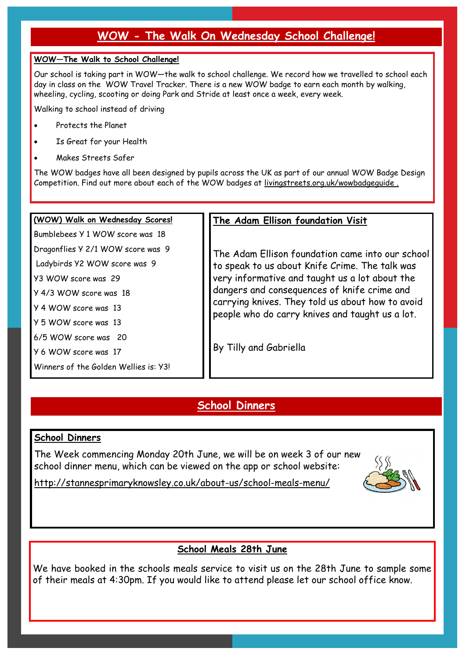## **WOW - The Walk On Wednesday School Challenge!**

#### **WOW—The Walk to School Challenge!**

Our school is taking part in WOW—the walk to school challenge. We record how we travelled to school each day in class on the WOW Travel Tracker. There is a new WOW badge to earn each month by walking, wheeling, cycling, scooting or doing Park and Stride at least once a week, every week.

Walking to school instead of driving

- Protects the Planet
- Is Great for your Health
- Makes Streets Safer

The WOW badges have all been designed by pupils across the UK as part of our annual WOW Badge Design Competition. Find out more about each of the WOW badges at livingstreets.org.uk/wowbadgeguide .

#### **(WOW) Walk on Wednesday Scores!**

Bumblebees Y 1 WOW score was 18 Dragonflies Y 2/1 WOW score was 9

Ladybirds Y2 WOW score was 9

Y3 WOW score was 29

Y 4/3 WOW score was 18

Y 4 WOW score was 13

Y 5 WOW score was 13

6/5 WOW score was 20

Y 6 WOW score was 17

Winners of the Golden Wellies is: Y3!

### **The Adam Ellison foundation Visit**

The Adam Ellison foundation came into our school to speak to us about Knife Crime. The talk was very informative and taught us a lot about the dangers and consequences of knife crime and carrying knives. They told us about how to avoid people who do carry knives and taught us a lot.

By Tilly and Gabriella

## **School Dinners**

### **School Dinners**

The Week commencing Monday 20th June, we will be on week 3 of our new school dinner menu, which can be viewed on the app or school website:



http://stannesprimaryknowsley.co.uk/about-us/school-meals-menu/

## **School Meals 28th June**

We have booked in the schools meals service to visit us on the 28th June to sample some of their meals at 4:30pm. If you would like to attend please let our school office know.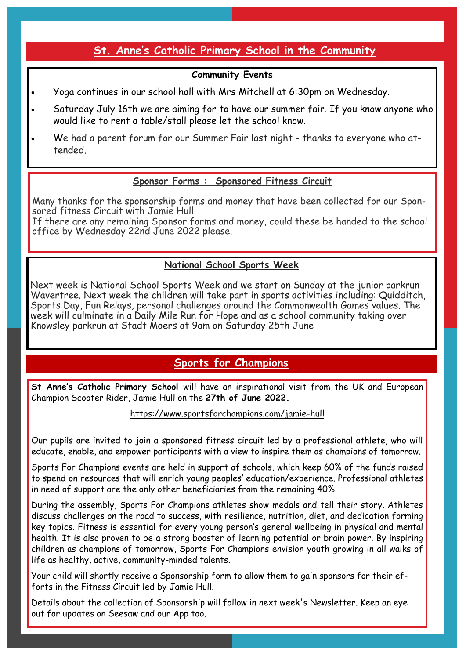## **St. Anne's Catholic Primary School in the Community**

## **Community Events**

- Yoga continues in our school hall with Mrs Mitchell at 6:30pm on Wednesday.
- Saturday July 16th we are aiming for to have our summer fair. If you know anyone who would like to rent a table/stall please let the school know.
- We had a parent forum for our Summer Fair last night thanks to everyone who attended.

### **Sponsor Forms : Sponsored Fitness Circuit**

Many thanks for the sponsorship forms and money that have been collected for our Sponsored fitness Circuit with Jamie Hull.

If there are any remaining Sponsor forms and money, could these be handed to the school office by Wednesday 22nd June 2022 please.

## **National School Sports Week**

Next week is National School Sports Week and we start on Sunday at the junior parkrun Wavertree. Next week the children will take part in sports activities including: Quidditch, Sports Day, Fun Relays, personal challenges around the Commonwealth Games values. The week will culminate in a Daily Mile Run for Hope and as a school community taking over Knowsley parkrun at Stadt Moers at 9am on Saturday 25th June

## **Sports for Champions**

**St Anne's Catholic Primary School** will have an inspirational visit from the UK and European Champion Scooter Rider, Jamie Hull on the **27th of June 2022.**

https://www.sportsforchampions.com/jamie-hull

Our pupils are invited to join a sponsored fitness circuit led by a professional athlete, who will educate, enable, and empower participants with a view to inspire them as champions of tomorrow.

Sports For Champions events are held in support of schools, which keep 60% of the funds raised to spend on resources that will enrich young peoples' education/experience. Professional athletes in need of support are the only other beneficiaries from the remaining 40%.

During the assembly, Sports For Champions athletes show medals and tell their story. Athletes discuss challenges on the road to success, with resilience, nutrition, diet, and dedication forming key topics. Fitness is essential for every young person's general wellbeing in physical and mental health. It is also proven to be a strong booster of learning potential or brain power. By inspiring children as champions of tomorrow, Sports For Champions envision youth growing in all walks of life as healthy, active, community-minded talents.

Your child will shortly receive a Sponsorship form to allow them to gain sponsors for their efforts in the Fitness Circuit led by Jamie Hull.

Details about the collection of Sponsorship will follow in next week's Newsletter. Keep an eye out for updates on Seesaw and our App too.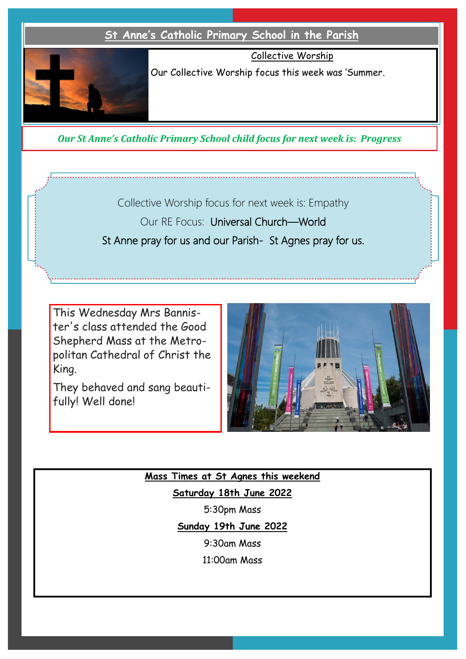

Our Collective Worship focus this week was 'Summer.

Collective Worship

*Our St Anne's Catholic Primary School child focus for next week is: Progress* 

Collective Worship focus for next week is: Empathy Our RE Focus: Universal Church—World St Anne pray for us and our Parish- St Agnes pray for us.

This Wednesday Mrs Bannister's class attended the Good Shepherd Mass at the Metropolitan Cathedral of Christ the King.

They behaved and sang beautifully! Well done!



**Mass Times at St Agnes this weekend**

**Saturday 18th June 2022**

5:30pm Mass

**Sunday 19th June 2022**

9:30am Mass

11:00am Mass